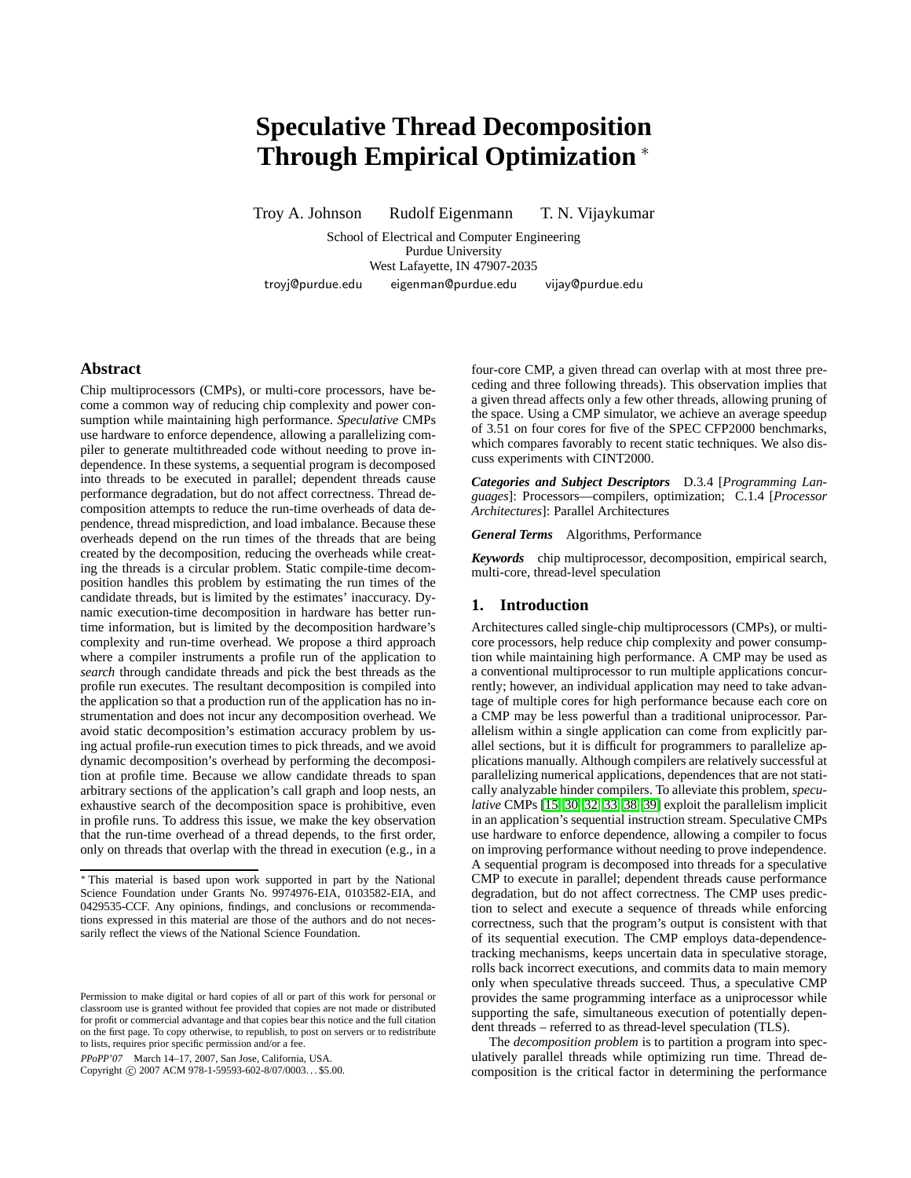# **Speculative Thread Decomposition Through Empirical Optimization** <sup>∗</sup>

Troy A. Johnson Rudolf Eigenmann T. N. Vijaykumar

School of Electrical and Computer Engineering Purdue University West Lafayette, IN 47907-2035 troyj@purdue.edu eigenman@purdue.edu vijay@purdue.edu

# **Abstract**

Chip multiprocessors (CMPs), or multi-core processors, have become a common way of reducing chip complexity and power consumption while maintaining high performance. *Speculative* CMPs use hardware to enforce dependence, allowing a parallelizing compiler to generate multithreaded code without needing to prove independence. In these systems, a sequential program is decomposed into threads to be executed in parallel; dependent threads cause performance degradation, but do not affect correctness. Thread decomposition attempts to reduce the run-time overheads of data dependence, thread misprediction, and load imbalance. Because these overheads depend on the run times of the threads that are being created by the decomposition, reducing the overheads while creating the threads is a circular problem. Static compile-time decomposition handles this problem by estimating the run times of the candidate threads, but is limited by the estimates' inaccuracy. Dynamic execution-time decomposition in hardware has better runtime information, but is limited by the decomposition hardware's complexity and run-time overhead. We propose a third approach where a compiler instruments a profile run of the application to *search* through candidate threads and pick the best threads as the profile run executes. The resultant decomposition is compiled into the application so that a production run of the application has no instrumentation and does not incur any decomposition overhead. We avoid static decomposition's estimation accuracy problem by using actual profile-run execution times to pick threads, and we avoid dynamic decomposition's overhead by performing the decomposition at profile time. Because we allow candidate threads to span arbitrary sections of the application's call graph and loop nests, an exhaustive search of the decomposition space is prohibitive, even in profile runs. To address this issue, we make the key observation that the run-time overhead of a thread depends, to the first order, only on threads that overlap with the thread in execution (e.g., in a

PPoPP'07 March 14–17, 2007, San Jose, California, USA.

Copyright © 2007 ACM 978-1-59593-602-8/07/0003... \$5.00.

four-core CMP, a given thread can overlap with at most three preceding and three following threads). This observation implies that a given thread affects only a few other threads, allowing pruning of the space. Using a CMP simulator, we achieve an average speedup of 3.51 on four cores for five of the SPEC CFP2000 benchmarks, which compares favorably to recent static techniques. We also discuss experiments with CINT2000.

*Categories and Subject Descriptors* D.3.4 [*Programming Languages*]: Processors—compilers, optimization; C.1.4 [*Processor Architectures*]: Parallel Architectures

*General Terms* Algorithms, Performance

*Keywords* chip multiprocessor, decomposition, empirical search, multi-core, thread-level speculation

# <span id="page-0-0"></span>**1. Introduction**

Architectures called single-chip multiprocessors (CMPs), or multicore processors, help reduce chip complexity and power consumption while maintaining high performance. A CMP may be used as a conventional multiprocessor to run multiple applications concurrently; however, an individual application may need to take advantage of multiple cores for high performance because each core on a CMP may be less powerful than a traditional uniprocessor. Parallelism within a single application can come from explicitly parallel sections, but it is difficult for programmers to parallelize applications manually. Although compilers are relatively successful at parallelizing numerical applications, dependences that are not statically analyzable hinder compilers. To alleviate this problem, *speculative* CMPs [\[15,](#page-9-0) [30,](#page-9-1) [32,](#page-9-2) [33,](#page-9-3) [38,](#page-9-4) [39\]](#page-9-5) exploit the parallelism implicit in an application's sequential instruction stream. Speculative CMPs use hardware to enforce dependence, allowing a compiler to focus on improving performance without needing to prove independence. A sequential program is decomposed into threads for a speculative CMP to execute in parallel; dependent threads cause performance degradation, but do not affect correctness. The CMP uses prediction to select and execute a sequence of threads while enforcing correctness, such that the program's output is consistent with that of its sequential execution. The CMP employs data-dependencetracking mechanisms, keeps uncertain data in speculative storage, rolls back incorrect executions, and commits data to main memory only when speculative threads succeed. Thus, a speculative CMP provides the same programming interface as a uniprocessor while supporting the safe, simultaneous execution of potentially dependent threads – referred to as thread-level speculation (TLS).

The *decomposition problem* is to partition a program into speculatively parallel threads while optimizing run time. Thread decomposition is the critical factor in determining the performance

<sup>∗</sup> This material is based upon work supported in part by the National Science Foundation under Grants No. 9974976-EIA, 0103582-EIA, and 0429535-CCF. Any opinions, findings, and conclusions or recommendations expressed in this material are those of the authors and do not necessarily reflect the views of the National Science Foundation.

Permission to make digital or hard copies of all or part of this work for personal or classroom use is granted without fee provided that copies are not made or distributed for profit or commercial advantage and that copies bear this notice and the full citation on the first page. To copy otherwise, to republish, to post on servers or to redistribute to lists, requires prior specific permission and/or a fee.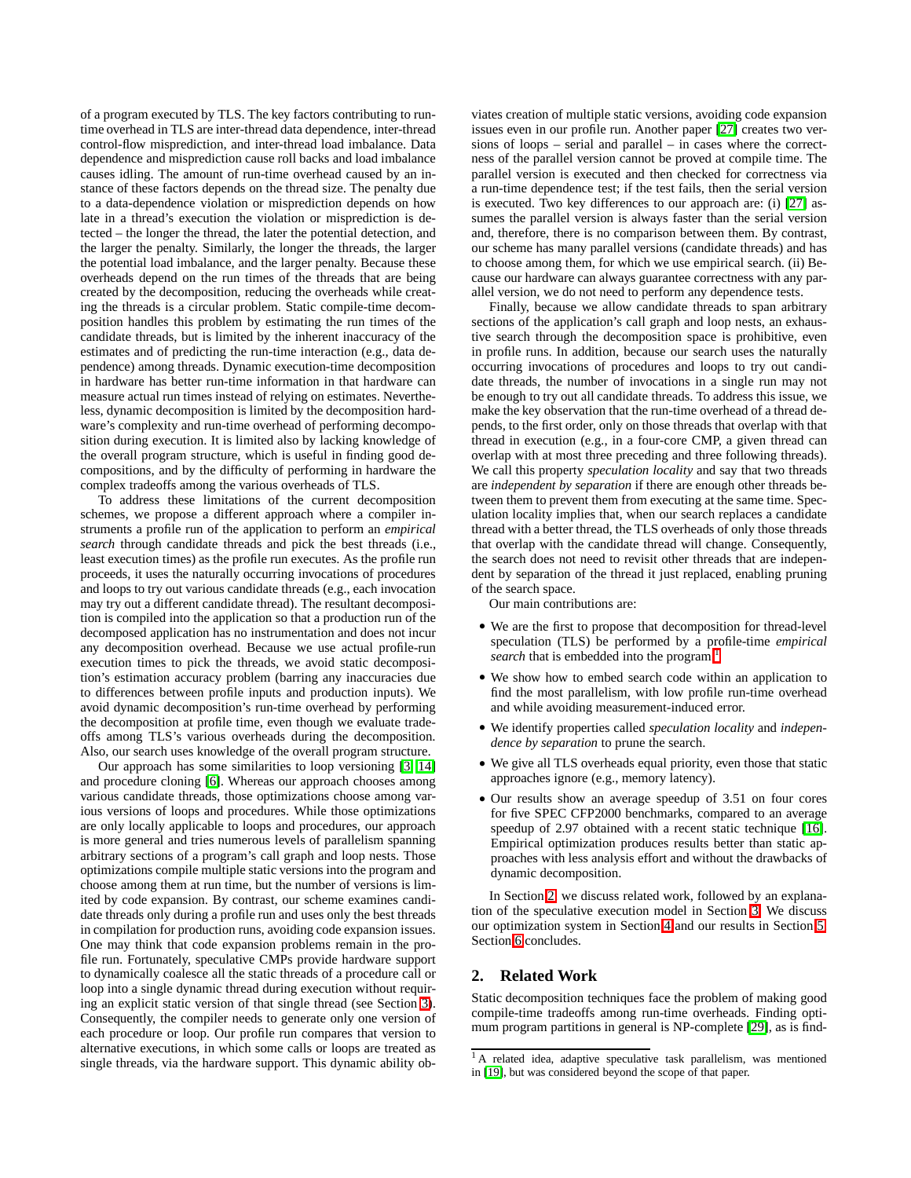of a program executed by TLS. The key factors contributing to runtime overhead in TLS are inter-thread data dependence, inter-thread control-flow misprediction, and inter-thread load imbalance. Data dependence and misprediction cause roll backs and load imbalance causes idling. The amount of run-time overhead caused by an instance of these factors depends on the thread size. The penalty due to a data-dependence violation or misprediction depends on how late in a thread's execution the violation or misprediction is detected – the longer the thread, the later the potential detection, and the larger the penalty. Similarly, the longer the threads, the larger the potential load imbalance, and the larger penalty. Because these overheads depend on the run times of the threads that are being created by the decomposition, reducing the overheads while creating the threads is a circular problem. Static compile-time decomposition handles this problem by estimating the run times of the candidate threads, but is limited by the inherent inaccuracy of the estimates and of predicting the run-time interaction (e.g., data dependence) among threads. Dynamic execution-time decomposition in hardware has better run-time information in that hardware can measure actual run times instead of relying on estimates. Nevertheless, dynamic decomposition is limited by the decomposition hardware's complexity and run-time overhead of performing decomposition during execution. It is limited also by lacking knowledge of the overall program structure, which is useful in finding good decompositions, and by the difficulty of performing in hardware the complex tradeoffs among the various overheads of TLS.

To address these limitations of the current decomposition schemes, we propose a different approach where a compiler instruments a profile run of the application to perform an *empirical search* through candidate threads and pick the best threads (i.e., least execution times) as the profile run executes. As the profile run proceeds, it uses the naturally occurring invocations of procedures and loops to try out various candidate threads (e.g., each invocation may try out a different candidate thread). The resultant decomposition is compiled into the application so that a production run of the decomposed application has no instrumentation and does not incur any decomposition overhead. Because we use actual profile-run execution times to pick the threads, we avoid static decomposition's estimation accuracy problem (barring any inaccuracies due to differences between profile inputs and production inputs). We avoid dynamic decomposition's run-time overhead by performing the decomposition at profile time, even though we evaluate tradeoffs among TLS's various overheads during the decomposition. Also, our search uses knowledge of the overall program structure.

Our approach has some similarities to loop versioning [\[3,](#page-9-6) [14\]](#page-9-7) and procedure cloning [\[6\]](#page-9-8). Whereas our approach chooses among various candidate threads, those optimizations choose among various versions of loops and procedures. While those optimizations are only locally applicable to loops and procedures, our approach is more general and tries numerous levels of parallelism spanning arbitrary sections of a program's call graph and loop nests. Those optimizations compile multiple static versions into the program and choose among them at run time, but the number of versions is limited by code expansion. By contrast, our scheme examines candidate threads only during a profile run and uses only the best threads in compilation for production runs, avoiding code expansion issues. One may think that code expansion problems remain in the profile run. Fortunately, speculative CMPs provide hardware support to dynamically coalesce all the static threads of a procedure call or loop into a single dynamic thread during execution without requiring an explicit static version of that single thread (see Section [3\)](#page-2-0). Consequently, the compiler needs to generate only one version of each procedure or loop. Our profile run compares that version to alternative executions, in which some calls or loops are treated as single threads, via the hardware support. This dynamic ability ob-

viates creation of multiple static versions, avoiding code expansion issues even in our profile run. Another paper [\[27\]](#page-9-9) creates two versions of loops – serial and parallel – in cases where the correctness of the parallel version cannot be proved at compile time. The parallel version is executed and then checked for correctness via a run-time dependence test; if the test fails, then the serial version is executed. Two key differences to our approach are: (i) [\[27\]](#page-9-9) assumes the parallel version is always faster than the serial version and, therefore, there is no comparison between them. By contrast, our scheme has many parallel versions (candidate threads) and has to choose among them, for which we use empirical search. (ii) Because our hardware can always guarantee correctness with any parallel version, we do not need to perform any dependence tests.

Finally, because we allow candidate threads to span arbitrary sections of the application's call graph and loop nests, an exhaustive search through the decomposition space is prohibitive, even in profile runs. In addition, because our search uses the naturally occurring invocations of procedures and loops to try out candidate threads, the number of invocations in a single run may not be enough to try out all candidate threads. To address this issue, we make the key observation that the run-time overhead of a thread depends, to the first order, only on those threads that overlap with that thread in execution (e.g., in a four-core CMP, a given thread can overlap with at most three preceding and three following threads). We call this property *speculation locality* and say that two threads are *independent by separation* if there are enough other threads between them to prevent them from executing at the same time. Speculation locality implies that, when our search replaces a candidate thread with a better thread, the TLS overheads of only those threads that overlap with the candidate thread will change. Consequently, the search does not need to revisit other threads that are independent by separation of the thread it just replaced, enabling pruning of the search space.

Our main contributions are:

- We are the first to propose that decomposition for thread-level speculation (TLS) be performed by a profile-time *empirical search* that is embedded into the program.<sup>[1](#page-1-0)</sup>
- We show how to embed search code within an application to find the most parallelism, with low profile run-time overhead and while avoiding measurement-induced error.
- We identify properties called *speculation locality* and *independence by separation* to prune the search.
- We give all TLS overheads equal priority, even those that static approaches ignore (e.g., memory latency).
- Our results show an average speedup of 3.51 on four cores for five SPEC CFP2000 benchmarks, compared to an average speedup of 2.97 obtained with a recent static technique [\[16\]](#page-9-10). Empirical optimization produces results better than static approaches with less analysis effort and without the drawbacks of dynamic decomposition.

In Section [2,](#page-1-1) we discuss related work, followed by an explanation of the speculative execution model in Section [3.](#page-2-0) We discuss our optimization system in Section [4](#page-3-0) and our results in Section [5.](#page-7-0) Section [6](#page-8-0) concludes.

## <span id="page-1-1"></span>**2. Related Work**

Static decomposition techniques face the problem of making good compile-time tradeoffs among run-time overheads. Finding optimum program partitions in general is NP-complete [\[29\]](#page-9-11), as is find-

<span id="page-1-0"></span><sup>&</sup>lt;sup>1</sup> A related idea, adaptive speculative task parallelism, was mentioned in [\[19\]](#page-9-12), but was considered beyond the scope of that paper.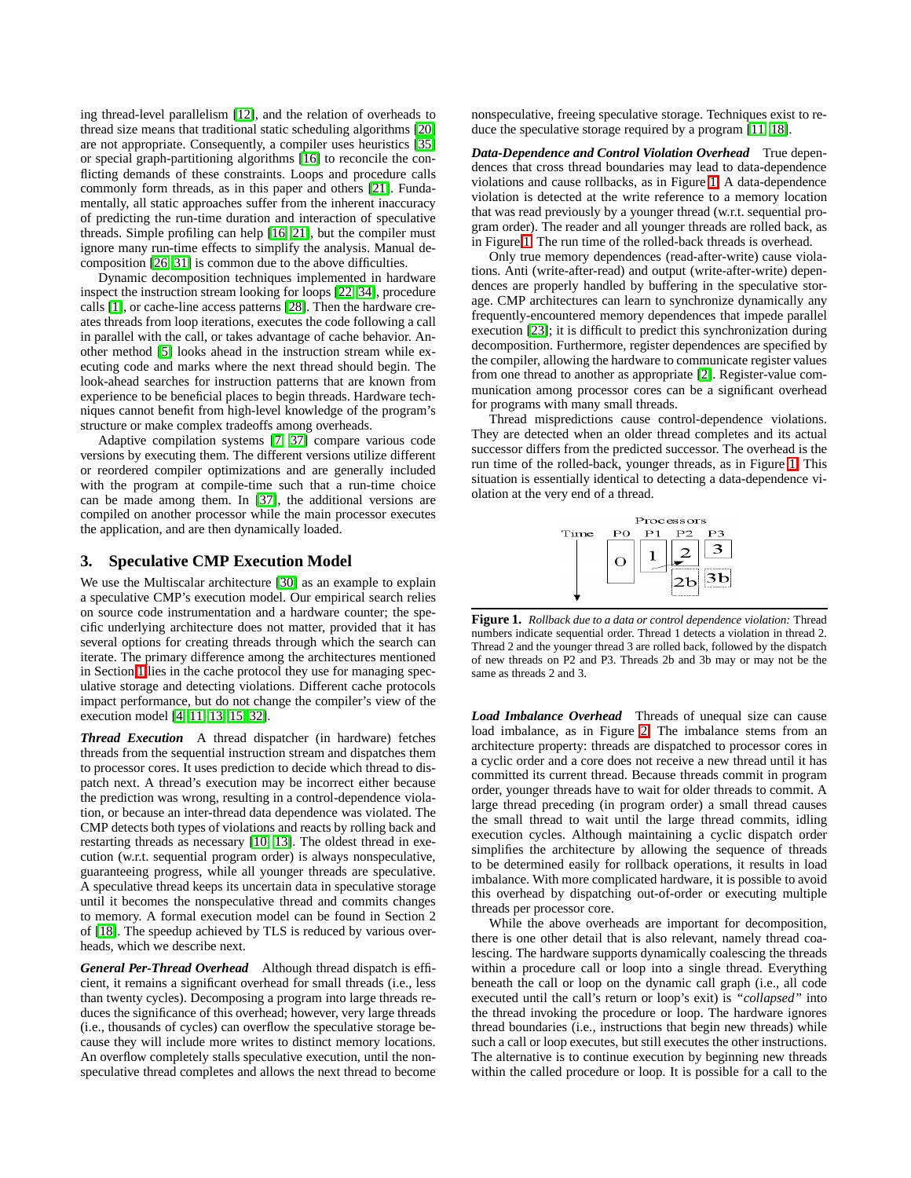ing thread-level parallelism [\[12\]](#page-9-13), and the relation of overheads to thread size means that traditional static scheduling algorithms [\[20\]](#page-9-14) are not appropriate. Consequently, a compiler uses heuristics [\[35\]](#page-9-15) or special graph-partitioning algorithms [\[16\]](#page-9-10) to reconcile the conflicting demands of these constraints. Loops and procedure calls commonly form threads, as in this paper and others [\[21\]](#page-9-16). Fundamentally, all static approaches suffer from the inherent inaccuracy of predicting the run-time duration and interaction of speculative threads. Simple profiling can help [\[16,](#page-9-10) [21\]](#page-9-16), but the compiler must ignore many run-time effects to simplify the analysis. Manual decomposition [\[26,](#page-9-17) [31\]](#page-9-18) is common due to the above difficulties.

Dynamic decomposition techniques implemented in hardware inspect the instruction stream looking for loops [\[22,](#page-9-19) [34\]](#page-9-20), procedure calls [\[1\]](#page-9-21), or cache-line access patterns [\[28\]](#page-9-22). Then the hardware creates threads from loop iterations, executes the code following a call in parallel with the call, or takes advantage of cache behavior. Another method [\[5\]](#page-9-23) looks ahead in the instruction stream while executing code and marks where the next thread should begin. The look-ahead searches for instruction patterns that are known from experience to be beneficial places to begin threads. Hardware techniques cannot benefit from high-level knowledge of the program's structure or make complex tradeoffs among overheads.

Adaptive compilation systems [\[7,](#page-9-24) [37\]](#page-9-25) compare various code versions by executing them. The different versions utilize different or reordered compiler optimizations and are generally included with the program at compile-time such that a run-time choice can be made among them. In [\[37\]](#page-9-25), the additional versions are compiled on another processor while the main processor executes the application, and are then dynamically loaded.

# <span id="page-2-0"></span>**3. Speculative CMP Execution Model**

We use the Multiscalar architecture [\[30\]](#page-9-1) as an example to explain a speculative CMP's execution model. Our empirical search relies on source code instrumentation and a hardware counter; the specific underlying architecture does not matter, provided that it has several options for creating threads through which the search can iterate. The primary difference among the architectures mentioned in Section [1](#page-0-0) lies in the cache protocol they use for managing speculative storage and detecting violations. Different cache protocols impact performance, but do not change the compiler's view of the execution model [\[4,](#page-9-26) [11,](#page-9-27) [13,](#page-9-28) [15,](#page-9-0) [32\]](#page-9-2).

*Thread Execution* A thread dispatcher (in hardware) fetches threads from the sequential instruction stream and dispatches them to processor cores. It uses prediction to decide which thread to dispatch next. A thread's execution may be incorrect either because the prediction was wrong, resulting in a control-dependence violation, or because an inter-thread data dependence was violated. The CMP detects both types of violations and reacts by rolling back and restarting threads as necessary [\[10,](#page-9-29) [13\]](#page-9-28). The oldest thread in execution (w.r.t. sequential program order) is always nonspeculative, guaranteeing progress, while all younger threads are speculative. A speculative thread keeps its uncertain data in speculative storage until it becomes the nonspeculative thread and commits changes to memory. A formal execution model can be found in Section 2 of [\[18\]](#page-9-30). The speedup achieved by TLS is reduced by various overheads, which we describe next.

*General Per-Thread Overhead* Although thread dispatch is efficient, it remains a significant overhead for small threads (i.e., less than twenty cycles). Decomposing a program into large threads reduces the significance of this overhead; however, very large threads (i.e., thousands of cycles) can overflow the speculative storage because they will include more writes to distinct memory locations. An overflow completely stalls speculative execution, until the nonspeculative thread completes and allows the next thread to become

nonspeculative, freeing speculative storage. Techniques exist to reduce the speculative storage required by a program [\[11,](#page-9-27) [18\]](#page-9-30).

*Data-Dependence and Control Violation Overhead* True dependences that cross thread boundaries may lead to data-dependence violations and cause rollbacks, as in Figure [1.](#page-2-1) A data-dependence violation is detected at the write reference to a memory location that was read previously by a younger thread (w.r.t. sequential program order). The reader and all younger threads are rolled back, as in Figure [1.](#page-2-1) The run time of the rolled-back threads is overhead.

Only true memory dependences (read-after-write) cause violations. Anti (write-after-read) and output (write-after-write) dependences are properly handled by buffering in the speculative storage. CMP architectures can learn to synchronize dynamically any frequently-encountered memory dependences that impede parallel execution [\[23\]](#page-9-31); it is difficult to predict this synchronization during decomposition. Furthermore, register dependences are specified by the compiler, allowing the hardware to communicate register values from one thread to another as appropriate [\[2\]](#page-9-32). Register-value communication among processor cores can be a significant overhead for programs with many small threads.

Thread mispredictions cause control-dependence violations. They are detected when an older thread completes and its actual successor differs from the predicted successor. The overhead is the run time of the rolled-back, younger threads, as in Figure [1.](#page-2-1) This situation is essentially identical to detecting a data-dependence violation at the very end of a thread.



<span id="page-2-1"></span>**Figure 1.** *Rollback due to a data or control dependence violation:* Thread numbers indicate sequential order. Thread 1 detects a violation in thread 2. Thread 2 and the younger thread 3 are rolled back, followed by the dispatch of new threads on P2 and P3. Threads 2b and 3b may or may not be the same as threads 2 and 3.

*Load Imbalance Overhead* Threads of unequal size can cause load imbalance, as in Figure [2.](#page-3-1) The imbalance stems from an architecture property: threads are dispatched to processor cores in a cyclic order and a core does not receive a new thread until it has committed its current thread. Because threads commit in program order, younger threads have to wait for older threads to commit. A large thread preceding (in program order) a small thread causes the small thread to wait until the large thread commits, idling execution cycles. Although maintaining a cyclic dispatch order simplifies the architecture by allowing the sequence of threads to be determined easily for rollback operations, it results in load imbalance. With more complicated hardware, it is possible to avoid this overhead by dispatching out-of-order or executing multiple threads per processor core.

While the above overheads are important for decomposition, there is one other detail that is also relevant, namely thread coalescing. The hardware supports dynamically coalescing the threads within a procedure call or loop into a single thread. Everything beneath the call or loop on the dynamic call graph (i.e., all code executed until the call's return or loop's exit) is *"collapsed"* into the thread invoking the procedure or loop. The hardware ignores thread boundaries (i.e., instructions that begin new threads) while such a call or loop executes, but still executes the other instructions. The alternative is to continue execution by beginning new threads within the called procedure or loop. It is possible for a call to the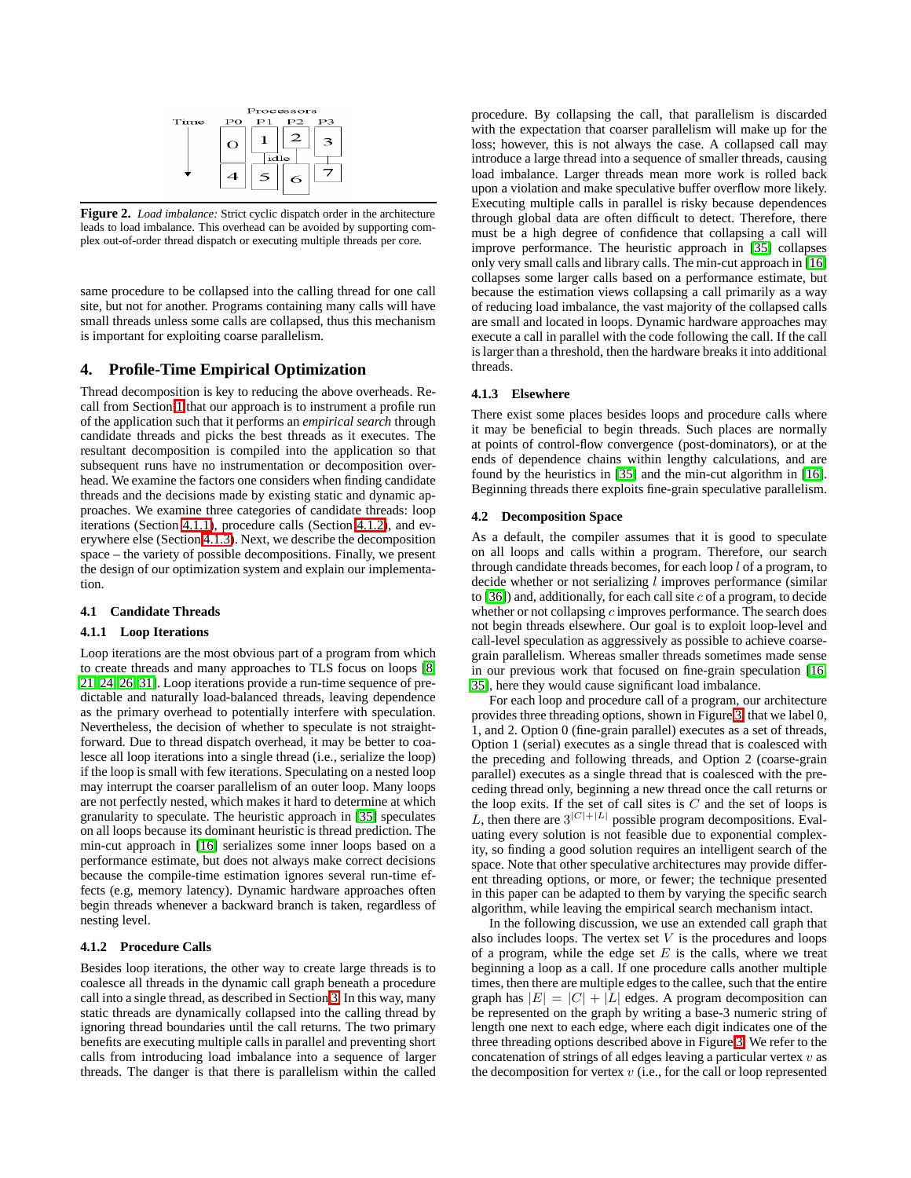

<span id="page-3-1"></span>**Figure 2.** *Load imbalance:* Strict cyclic dispatch order in the architecture leads to load imbalance. This overhead can be avoided by supporting complex out-of-order thread dispatch or executing multiple threads per core.

same procedure to be collapsed into the calling thread for one call site, but not for another. Programs containing many calls will have small threads unless some calls are collapsed, thus this mechanism is important for exploiting coarse parallelism.

# <span id="page-3-0"></span>**4. Profile-Time Empirical Optimization**

Thread decomposition is key to reducing the above overheads. Recall from Section [1](#page-0-0) that our approach is to instrument a profile run of the application such that it performs an *empirical search* through candidate threads and picks the best threads as it executes. The resultant decomposition is compiled into the application so that subsequent runs have no instrumentation or decomposition overhead. We examine the factors one considers when finding candidate threads and the decisions made by existing static and dynamic approaches. We examine three categories of candidate threads: loop iterations (Section [4.1.1\)](#page-3-2), procedure calls (Section [4.1.2\)](#page-3-3), and everywhere else (Section [4.1.3\)](#page-3-4). Next, we describe the decomposition space – the variety of possible decompositions. Finally, we present the design of our optimization system and explain our implementation.

## <span id="page-3-2"></span>**4.1 Candidate Threads**

## **4.1.1 Loop Iterations**

Loop iterations are the most obvious part of a program from which to create threads and many approaches to TLS focus on loops [\[8,](#page-9-33) [21,](#page-9-16) [24,](#page-9-34) [26,](#page-9-17) [31\]](#page-9-18). Loop iterations provide a run-time sequence of predictable and naturally load-balanced threads, leaving dependence as the primary overhead to potentially interfere with speculation. Nevertheless, the decision of whether to speculate is not straightforward. Due to thread dispatch overhead, it may be better to coalesce all loop iterations into a single thread (i.e., serialize the loop) if the loop is small with few iterations. Speculating on a nested loop may interrupt the coarser parallelism of an outer loop. Many loops are not perfectly nested, which makes it hard to determine at which granularity to speculate. The heuristic approach in [\[35\]](#page-9-15) speculates on all loops because its dominant heuristic is thread prediction. The min-cut approach in [\[16\]](#page-9-10) serializes some inner loops based on a performance estimate, but does not always make correct decisions because the compile-time estimation ignores several run-time effects (e.g, memory latency). Dynamic hardware approaches often begin threads whenever a backward branch is taken, regardless of nesting level.

# <span id="page-3-3"></span>**4.1.2 Procedure Calls**

Besides loop iterations, the other way to create large threads is to coalesce all threads in the dynamic call graph beneath a procedure call into a single thread, as described in Section [3.](#page-2-0) In this way, many static threads are dynamically collapsed into the calling thread by ignoring thread boundaries until the call returns. The two primary benefits are executing multiple calls in parallel and preventing short calls from introducing load imbalance into a sequence of larger threads. The danger is that there is parallelism within the called procedure. By collapsing the call, that parallelism is discarded with the expectation that coarser parallelism will make up for the loss; however, this is not always the case. A collapsed call may introduce a large thread into a sequence of smaller threads, causing load imbalance. Larger threads mean more work is rolled back upon a violation and make speculative buffer overflow more likely. Executing multiple calls in parallel is risky because dependences through global data are often difficult to detect. Therefore, there must be a high degree of confidence that collapsing a call will improve performance. The heuristic approach in [\[35\]](#page-9-15) collapses only very small calls and library calls. The min-cut approach in [\[16\]](#page-9-10) collapses some larger calls based on a performance estimate, but because the estimation views collapsing a call primarily as a way of reducing load imbalance, the vast majority of the collapsed calls are small and located in loops. Dynamic hardware approaches may execute a call in parallel with the code following the call. If the call is larger than a threshold, then the hardware breaks it into additional threads.

# <span id="page-3-4"></span>**4.1.3 Elsewhere**

There exist some places besides loops and procedure calls where it may be beneficial to begin threads. Such places are normally at points of control-flow convergence (post-dominators), or at the ends of dependence chains within lengthy calculations, and are found by the heuristics in [\[35\]](#page-9-15) and the min-cut algorithm in [\[16\]](#page-9-10). Beginning threads there exploits fine-grain speculative parallelism.

## **4.2 Decomposition Space**

As a default, the compiler assumes that it is good to speculate on all loops and calls within a program. Therefore, our search through candidate threads becomes, for each loop  $l$  of a program, to decide whether or not serializing  $l$  improves performance (similar to [\[36\]](#page-9-35)) and, additionally, for each call site  $c$  of a program, to decide whether or not collapsing  $c$  improves performance. The search does not begin threads elsewhere. Our goal is to exploit loop-level and call-level speculation as aggressively as possible to achieve coarsegrain parallelism. Whereas smaller threads sometimes made sense in our previous work that focused on fine-grain speculation [\[16,](#page-9-10) [35\]](#page-9-15), here they would cause significant load imbalance.

For each loop and procedure call of a program, our architecture provides three threading options, shown in Figure [3,](#page-4-0) that we label 0, 1, and 2. Option 0 (fine-grain parallel) executes as a set of threads, Option 1 (serial) executes as a single thread that is coalesced with the preceding and following threads, and Option 2 (coarse-grain parallel) executes as a single thread that is coalesced with the preceding thread only, beginning a new thread once the call returns or the loop exits. If the set of call sites is  $C$  and the set of loops is L, then there are  $3^{|C|+|L|}$  possible program decompositions. Evaluating every solution is not feasible due to exponential complexity, so finding a good solution requires an intelligent search of the space. Note that other speculative architectures may provide different threading options, or more, or fewer; the technique presented in this paper can be adapted to them by varying the specific search algorithm, while leaving the empirical search mechanism intact.

In the following discussion, we use an extended call graph that also includes loops. The vertex set  $V$  is the procedures and loops of a program, while the edge set  $E$  is the calls, where we treat beginning a loop as a call. If one procedure calls another multiple times, then there are multiple edges to the callee, such that the entire graph has  $|E| = |C| + |L|$  edges. A program decomposition can be represented on the graph by writing a base-3 numeric string of length one next to each edge, where each digit indicates one of the three threading options described above in Figure [3.](#page-4-0) We refer to the concatenation of strings of all edges leaving a particular vertex  $v$  as the decomposition for vertex  $v$  (i.e., for the call or loop represented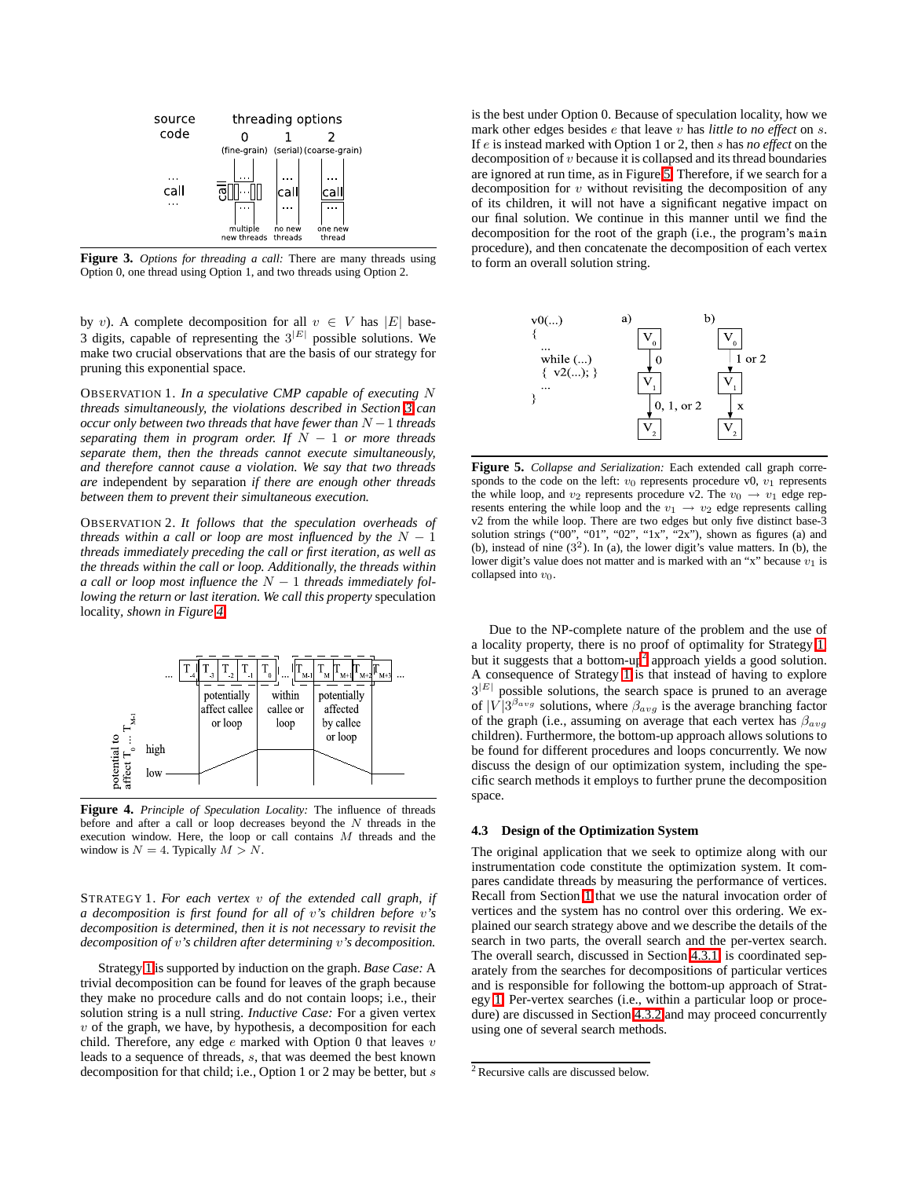

<span id="page-4-0"></span>**Figure 3.** *Options for threading a call:* There are many threads using Option 0, one thread using Option 1, and two threads using Option 2.

by v). A complete decomposition for all  $v \in V$  has  $|E|$  base-3 digits, capable of representing the  $3^{|E|}$  possible solutions. We make two crucial observations that are the basis of our strategy for pruning this exponential space.

OBSERVATION 1. *In a speculative CMP capable of executing* N *threads simultaneously, the violations described in Section [3](#page-2-0) can occur only between two threads that have fewer than* N −1 *threads separating them in program order. If* N − 1 *or more threads separate them, then the threads cannot execute simultaneously, and therefore cannot cause a violation. We say that two threads are* independent by separation *if there are enough other threads between them to prevent their simultaneous execution.*

OBSERVATION 2. *It follows that the speculation overheads of threads within a call or loop are most influenced by the*  $N - 1$ *threads immediately preceding the call or first iteration, as well as the threads within the call or loop. Additionally, the threads within a call or loop most influence the* N − 1 *threads immediately following the return or last iteration. We call this property* speculation locality*, shown in Figure [4.](#page-4-1)*



<span id="page-4-1"></span>**Figure 4.** *Principle of Speculation Locality:* The influence of threads before and after a call or loop decreases beyond the  $N$  threads in the execution window. Here, the loop or call contains M threads and the window is  $N = 4$ . Typically  $M > N$ .

<span id="page-4-2"></span>STRATEGY 1. *For each vertex* v *of the extended call graph, if a decomposition is first found for all of* v*'s children before* v*'s decomposition is determined, then it is not necessary to revisit the decomposition of* v*'s children after determining* v*'s decomposition.*

Strategy [1](#page-4-2) is supported by induction on the graph. *Base Case:* A trivial decomposition can be found for leaves of the graph because they make no procedure calls and do not contain loops; i.e., their solution string is a null string. *Inductive Case:* For a given vertex  $v$  of the graph, we have, by hypothesis, a decomposition for each child. Therefore, any edge  $e$  marked with Option 0 that leaves  $v$ leads to a sequence of threads, s, that was deemed the best known decomposition for that child; i.e., Option 1 or 2 may be better, but s is the best under Option 0. Because of speculation locality, how we mark other edges besides e that leave v has *little to no effect* on s. If e is instead marked with Option 1 or 2, then s has *no effect* on the decomposition of  $v$  because it is collapsed and its thread boundaries are ignored at run time, as in Figure [5.](#page-4-3) Therefore, if we search for a decomposition for  $v$  without revisiting the decomposition of any of its children, it will not have a significant negative impact on our final solution. We continue in this manner until we find the decomposition for the root of the graph (i.e., the program's main procedure), and then concatenate the decomposition of each vertex to form an overall solution string.



<span id="page-4-3"></span>**Figure 5.** *Collapse and Serialization:* Each extended call graph corresponds to the code on the left:  $v_0$  represents procedure v0,  $v_1$  represents the while loop, and  $v_2$  represents procedure v2. The  $v_0 \rightarrow v_1$  edge represents entering the while loop and the  $v_1 \rightarrow v_2$  edge represents calling v2 from the while loop. There are two edges but only five distinct base-3 solution strings ("00", "01", "02", "1x", "2x"), shown as figures (a) and (b), instead of nine  $(3<sup>2</sup>)$ . In (a), the lower digit's value matters. In (b), the lower digit's value does not matter and is marked with an "x" because  $v_1$  is collapsed into  $v_0$ .

Due to the NP-complete nature of the problem and the use of a locality property, there is no proof of optimality for Strategy [1,](#page-4-2) but it suggests that a bottom-up<sup>[2](#page-4-4)</sup> approach yields a good solution. A consequence of Strategy [1](#page-4-2) is that instead of having to explore  $3^{|E|}$  possible solutions, the search space is pruned to an average of  $|V|3^{\beta_{avg}}$  solutions, where  $\beta_{avg}$  is the average branching factor of the graph (i.e., assuming on average that each vertex has  $\beta_{avg}$ children). Furthermore, the bottom-up approach allows solutions to be found for different procedures and loops concurrently. We now discuss the design of our optimization system, including the specific search methods it employs to further prune the decomposition space.

### **4.3 Design of the Optimization System**

The original application that we seek to optimize along with our instrumentation code constitute the optimization system. It compares candidate threads by measuring the performance of vertices. Recall from Section [1](#page-0-0) that we use the natural invocation order of vertices and the system has no control over this ordering. We explained our search strategy above and we describe the details of the search in two parts, the overall search and the per-vertex search. The overall search, discussed in Section [4.3.1,](#page-5-0) is coordinated separately from the searches for decompositions of particular vertices and is responsible for following the bottom-up approach of Strategy [1.](#page-4-2) Per-vertex searches (i.e., within a particular loop or procedure) are discussed in Section [4.3.2](#page-5-1) and may proceed concurrently using one of several search methods.

<span id="page-4-4"></span><sup>2</sup> Recursive calls are discussed below.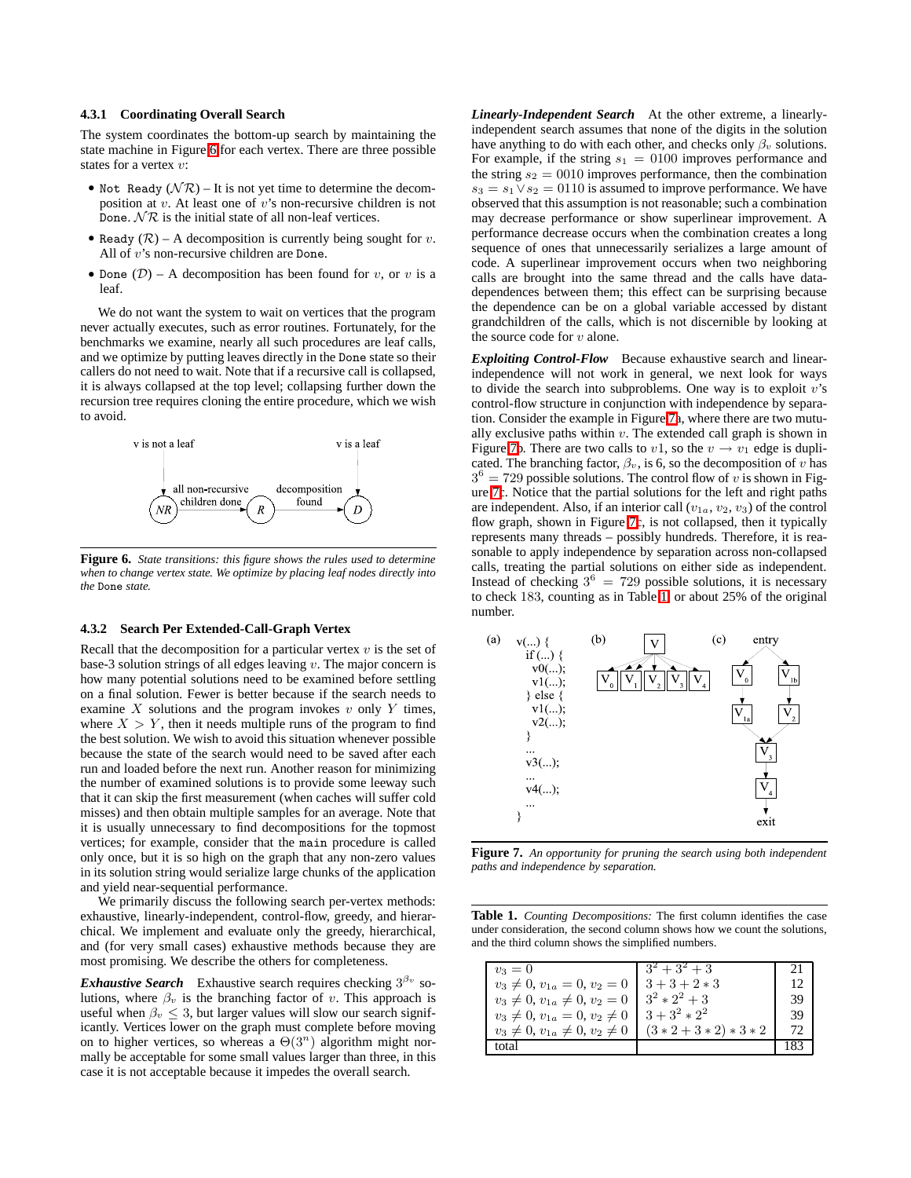# <span id="page-5-0"></span>**4.3.1 Coordinating Overall Search**

The system coordinates the bottom-up search by maintaining the state machine in Figure [6](#page-5-2) for each vertex. There are three possible states for a vertex v:

- Not Ready  $(N \mathcal{R})$  It is not yet time to determine the decomposition at  $v$ . At least one of  $v$ 's non-recursive children is not Done.  $\mathcal{NR}$  is the initial state of all non-leaf vertices.
- Ready  $(\mathcal{R})$  A decomposition is currently being sought for  $v$ . All of v's non-recursive children are Done.
- Done  $(D)$  A decomposition has been found for v, or v is a leaf.

We do not want the system to wait on vertices that the program never actually executes, such as error routines. Fortunately, for the benchmarks we examine, nearly all such procedures are leaf calls, and we optimize by putting leaves directly in the Done state so their callers do not need to wait. Note that if a recursive call is collapsed, it is always collapsed at the top level; collapsing further down the recursion tree requires cloning the entire procedure, which we wish to avoid.



<span id="page-5-2"></span>**Figure 6.** *State transitions: this figure shows the rules used to determine when to change vertex state. We optimize by placing leaf nodes directly into the* Done *state.*

## <span id="page-5-1"></span>**4.3.2 Search Per Extended-Call-Graph Vertex**

Recall that the decomposition for a particular vertex  $v$  is the set of base-3 solution strings of all edges leaving  $v$ . The major concern is how many potential solutions need to be examined before settling on a final solution. Fewer is better because if the search needs to examine  $X$  solutions and the program invokes  $v$  only  $Y$  times, where  $X > Y$ , then it needs multiple runs of the program to find the best solution. We wish to avoid this situation whenever possible because the state of the search would need to be saved after each run and loaded before the next run. Another reason for minimizing the number of examined solutions is to provide some leeway such that it can skip the first measurement (when caches will suffer cold misses) and then obtain multiple samples for an average. Note that it is usually unnecessary to find decompositions for the topmost vertices; for example, consider that the main procedure is called only once, but it is so high on the graph that any non-zero values in its solution string would serialize large chunks of the application and yield near-sequential performance.

We primarily discuss the following search per-vertex methods: exhaustive, linearly-independent, control-flow, greedy, and hierarchical. We implement and evaluate only the greedy, hierarchical, and (for very small cases) exhaustive methods because they are most promising. We describe the others for completeness.

*Exhaustive Search* Exhaustive search requires checking  $3^{\beta_v}$  solutions, where  $\beta_v$  is the branching factor of v. This approach is useful when  $\beta_v \leq 3$ , but larger values will slow our search significantly. Vertices lower on the graph must complete before moving on to higher vertices, so whereas a  $\Theta(3^n)$  algorithm might normally be acceptable for some small values larger than three, in this case it is not acceptable because it impedes the overall search.

*Linearly-Independent Search* At the other extreme, a linearlyindependent search assumes that none of the digits in the solution have anything to do with each other, and checks only  $\beta_v$  solutions. For example, if the string  $s_1 = 0100$  improves performance and the string  $s_2 = 0010$  improves performance, then the combination  $s_3 = s_1 \vee s_2 = 0110$  is assumed to improve performance. We have observed that this assumption is not reasonable; such a combination may decrease performance or show superlinear improvement. A performance decrease occurs when the combination creates a long sequence of ones that unnecessarily serializes a large amount of code. A superlinear improvement occurs when two neighboring calls are brought into the same thread and the calls have datadependences between them; this effect can be surprising because the dependence can be on a global variable accessed by distant grandchildren of the calls, which is not discernible by looking at the source code for  $v$  alone.

*Exploiting Control-Flow* Because exhaustive search and linearindependence will not work in general, we next look for ways to divide the search into subproblems. One way is to exploit  $v$ 's control-flow structure in conjunction with independence by separation. Consider the example in Figure [7a](#page-5-3), where there are two mutually exclusive paths within  $v$ . The extended call graph is shown in Figure [7b](#page-5-3). There are two calls to  $v1$ , so the  $v \rightarrow v_1$  edge is duplicated. The branching factor,  $\beta_v$ , is 6, so the decomposition of v has  $3^6 = 729$  possible solutions. The control flow of v is shown in Figure [7c](#page-5-3). Notice that the partial solutions for the left and right paths are independent. Also, if an interior call  $(v_{1a}, v_2, v_3)$  of the control flow graph, shown in Figure [7c](#page-5-3), is not collapsed, then it typically represents many threads – possibly hundreds. Therefore, it is reasonable to apply independence by separation across non-collapsed calls, treating the partial solutions on either side as independent. Instead of checking  $3^6 = 729$  possible solutions, it is necessary to check 183, counting as in Table [1,](#page-5-4) or about 25% of the original number.



<span id="page-5-3"></span>**Figure 7.** *An opportunity for pruning the search using both independent paths and independence by separation.*

<span id="page-5-4"></span>**Table 1.** *Counting Decompositions:* The first column identifies the case under consideration, the second column shows how we count the solutions, and the third column shows the simplified numbers.

| $v_3=0$                                 | $3^2 + 3^2 + 3$           |    |
|-----------------------------------------|---------------------------|----|
| $v_3 \neq 0, v_{1a} = 0, v_2 = 0$       | $3+3+2*3$                 |    |
| $v_3 \neq 0, v_{1a} \neq 0, v_2 = 0$    | $3^2 * 2^2 + 3$           | 39 |
| $v_3 \neq 0, v_{1a} = 0, v_2 \neq 0$    | $3+3^2*2^2$               | 39 |
| $v_3 \neq 0, v_{1a} \neq 0, v_2 \neq 0$ | $(3 * 2 + 3 * 2) * 3 * 2$ |    |
| total                                   |                           |    |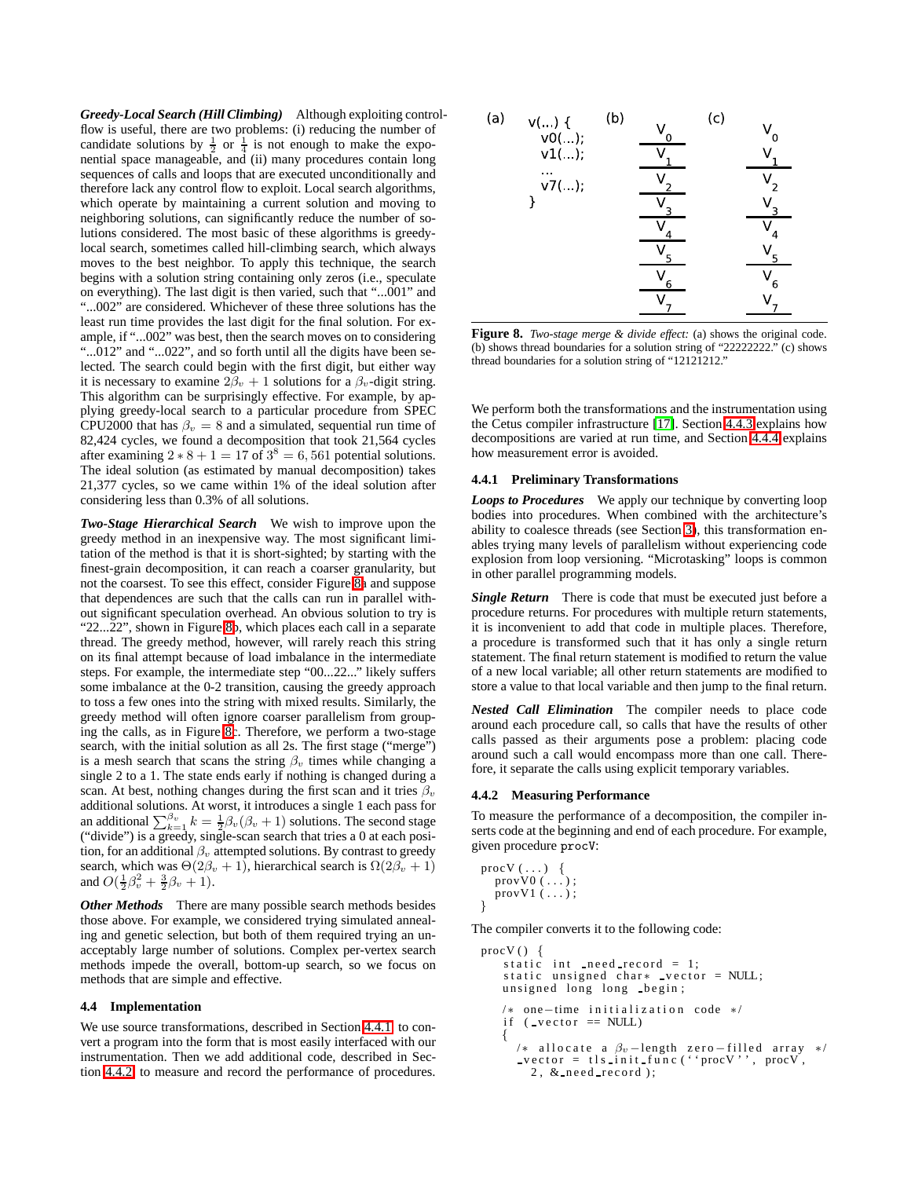*Greedy-Local Search (Hill Climbing)* Although exploiting controlflow is useful, there are two problems: (i) reducing the number of candidate solutions by  $\frac{1}{2}$  or  $\frac{1}{4}$  is not enough to make the exponential space manageable, and (ii) many procedures contain long sequences of calls and loops that are executed unconditionally and therefore lack any control flow to exploit. Local search algorithms, which operate by maintaining a current solution and moving to neighboring solutions, can significantly reduce the number of solutions considered. The most basic of these algorithms is greedylocal search, sometimes called hill-climbing search, which always moves to the best neighbor. To apply this technique, the search begins with a solution string containing only zeros (i.e., speculate on everything). The last digit is then varied, such that "...001" and "...002" are considered. Whichever of these three solutions has the least run time provides the last digit for the final solution. For example, if "...002" was best, then the search moves on to considering "...012" and "...022", and so forth until all the digits have been selected. The search could begin with the first digit, but either way it is necessary to examine  $2\beta_v + 1$  solutions for a  $\beta_v$ -digit string. This algorithm can be surprisingly effective. For example, by applying greedy-local search to a particular procedure from SPEC CPU2000 that has  $\beta_v = 8$  and a simulated, sequential run time of 82,424 cycles, we found a decomposition that took 21,564 cycles after examining  $2 * 8 + 1 = 17$  of  $3^8 = 6,561$  potential solutions. The ideal solution (as estimated by manual decomposition) takes 21,377 cycles, so we came within 1% of the ideal solution after considering less than 0.3% of all solutions.

*Two-Stage Hierarchical Search* We wish to improve upon the greedy method in an inexpensive way. The most significant limitation of the method is that it is short-sighted; by starting with the finest-grain decomposition, it can reach a coarser granularity, but not the coarsest. To see this effect, consider Figure [8a](#page-6-0) and suppose that dependences are such that the calls can run in parallel without significant speculation overhead. An obvious solution to try is "22...22", shown in Figure [8b](#page-6-0), which places each call in a separate thread. The greedy method, however, will rarely reach this string on its final attempt because of load imbalance in the intermediate steps. For example, the intermediate step "00...22..." likely suffers some imbalance at the 0-2 transition, causing the greedy approach to toss a few ones into the string with mixed results. Similarly, the greedy method will often ignore coarser parallelism from grouping the calls, as in Figure [8c](#page-6-0). Therefore, we perform a two-stage search, with the initial solution as all 2s. The first stage ("merge") is a mesh search that scans the string  $\beta_v$  times while changing a single 2 to a 1. The state ends early if nothing is changed during a scan. At best, nothing changes during the first scan and it tries  $\beta_v$ additional solutions. At worst, it introduces a single 1 each pass for an additional  $\sum_{k=1}^{\beta_v} k = \frac{1}{2}\beta_v(\beta_v + 1)$  solutions. The second stage ("divide") is a greedy, single-scan search that tries a 0 at each position, for an additional  $\beta_v$  attempted solutions. By contrast to greedy search, which was  $\Theta(2\beta_v + 1)$ , hierarchical search is  $\Omega(2\beta_v + 1)$ and  $O(\frac{1}{2}\beta_v^2 + \frac{3}{2}\beta_v + 1)$ .

*Other Methods* There are many possible search methods besides those above. For example, we considered trying simulated annealing and genetic selection, but both of them required trying an unacceptably large number of solutions. Complex per-vertex search methods impede the overall, bottom-up search, so we focus on methods that are simple and effective.

## **4.4 Implementation**

We use source transformations, described in Section [4.4.1,](#page-6-1) to convert a program into the form that is most easily interfaced with our instrumentation. Then we add additional code, described in Section [4.4.2,](#page-6-2) to measure and record the performance of procedures.



<span id="page-6-0"></span>**Figure 8.** *Two-stage merge & divide effect:* (a) shows the original code. (b) shows thread boundaries for a solution string of "22222222." (c) shows thread boundaries for a solution string of "12121212."

We perform both the transformations and the instrumentation using the Cetus compiler infrastructure [\[17\]](#page-9-36). Section [4.4.3](#page-7-1) explains how decompositions are varied at run time, and Section [4.4.4](#page-7-2) explains how measurement error is avoided.

#### <span id="page-6-1"></span>**4.4.1 Preliminary Transformations**

*Loops to Procedures* We apply our technique by converting loop bodies into procedures. When combined with the architecture's ability to coalesce threads (see Section [3\)](#page-2-0), this transformation enables trying many levels of parallelism without experiencing code explosion from loop versioning. "Microtasking" loops is common in other parallel programming models.

*Single Return* There is code that must be executed just before a procedure returns. For procedures with multiple return statements, it is inconvenient to add that code in multiple places. Therefore, a procedure is transformed such that it has only a single return statement. The final return statement is modified to return the value of a new local variable; all other return statements are modified to store a value to that local variable and then jump to the final return.

*Nested Call Elimination* The compiler needs to place code around each procedure call, so calls that have the results of other calls passed as their arguments pose a problem: placing code around such a call would encompass more than one call. Therefore, it separate the calls using explicit temporary variables.

#### <span id="page-6-2"></span>**4.4.2 Measuring Performance**

To measure the performance of a decomposition, the compiler inserts code at the beginning and end of each procedure. For example, given procedure procV:

```
procV ( \dots ) {
   provVO \ldots);
   provV1 ( \ldots );
}
```
The compiler converts it to the following code:

```
procV() \{static int need record = 1;
   static unsigned char* _vector = NULL;
   unsigned long long _begin;
   /* one-time initialization code */
   if (-vector == NULL){
     /* allocate a \beta_v-length zero-filled array */
     vector = t1s in it func ("procV", procV,
       2, & need record);
```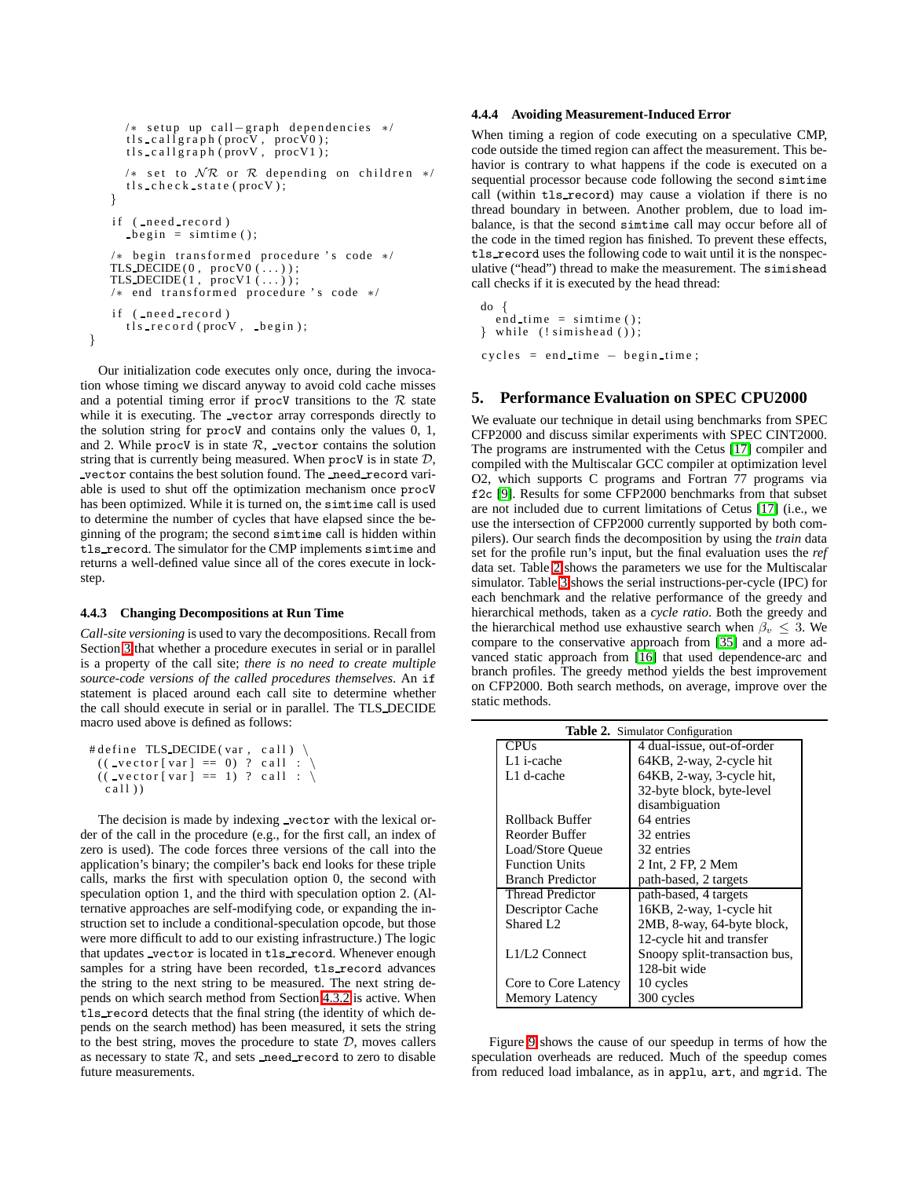```
/* setup up call-graph dependencies */
    t l s c all g r a p h ( proc V , proc V 0 );
    tls_callgraph(provV,procV1);
    /* set to \mathcal{NR} or \mathcal{R} depending on children */
    tls check state (procV);
}
if (_need_record)
    begin = begin = \frac{1}{2} \frac{1}{2} \frac{1}{2} \frac{1}{2} \frac{1}{2} \frac{1}{2} \frac{1}{2} \frac{1}{2} \frac{1}{2} \frac{1}{2} \frac{1}{2} \frac{1}{2} \frac{1}{2} \frac{1}{2} \frac{1}{2} \frac{1}{2} \frac{1}{2} \frac{1}{2} \frac{1}{2} \frac{1}{2} \frac{1}{2} /* begin transformed procedure 's code */
TLS_DECIDE(0, \text{procV0}(\dots));TLS_DECIDE(1, \text{procV1}(...));/* end transformed procedure 's code */
if ( need record)
    t \, \mathbf{l} s record (procV, begin);
```
Our initialization code executes only once, during the invocation whose timing we discard anyway to avoid cold cache misses and a potential timing error if procV transitions to the  $R$  state while it is executing. The vector array corresponds directly to the solution string for procV and contains only the values 0, 1, and 2. While procV is in state  $R$ , vector contains the solution string that is currently being measured. When  $\text{proc}V$  is in state  $D$ , vector contains the best solution found. The need record variable is used to shut off the optimization mechanism once procV has been optimized. While it is turned on, the simtime call is used to determine the number of cycles that have elapsed since the beginning of the program; the second simtime call is hidden within tls record. The simulator for the CMP implements simtime and returns a well-defined value since all of the cores execute in lockstep.

## <span id="page-7-1"></span>**4.4.3 Changing Decompositions at Run Time**

}

*Call-site versioning* is used to vary the decompositions. Recall from Section [3](#page-2-0) that whether a procedure executes in serial or in parallel is a property of the call site; *there is no need to create multiple source-code versions of the called procedures themselves*. An if statement is placed around each call site to determine whether the call should execute in serial or in parallel. The TLS DECIDE macro used above is defined as follows:

```
# define TLS_DECIDE (var, call) \setminus((\text{vector} [\text{var}] == 0) ? \text{call} :((\text{vector} [\text{var}] == 1) ? \text{call} : \ \ \ )cal(1))
```
The decision is made by indexing vector with the lexical order of the call in the procedure (e.g., for the first call, an index of zero is used). The code forces three versions of the call into the application's binary; the compiler's back end looks for these triple calls, marks the first with speculation option 0, the second with speculation option 1, and the third with speculation option 2. (Alternative approaches are self-modifying code, or expanding the instruction set to include a conditional-speculation opcode, but those were more difficult to add to our existing infrastructure.) The logic that updates vector is located in tls record. Whenever enough samples for a string have been recorded, tls\_record advances the string to the next string to be measured. The next string depends on which search method from Section [4.3.2](#page-5-1) is active. When tls record detects that the final string (the identity of which depends on the search method) has been measured, it sets the string to the best string, moves the procedure to state  $D$ , moves callers as necessary to state  $R$ , and sets need record to zero to disable future measurements.

## <span id="page-7-2"></span>**4.4.4 Avoiding Measurement-Induced Error**

When timing a region of code executing on a speculative CMP, code outside the timed region can affect the measurement. This behavior is contrary to what happens if the code is executed on a sequential processor because code following the second simtime call (within tls record) may cause a violation if there is no thread boundary in between. Another problem, due to load imbalance, is that the second simtime call may occur before all of the code in the timed region has finished. To prevent these effects, tls record uses the following code to wait until it is the nonspeculative ("head") thread to make the measurement. The simishead call checks if it is executed by the head thread:

do { end time = simile  $()$ ;  $\}$  while  $(! \text{simished } ());$ 

 $cycles = end_time - begin_time;$ 

## <span id="page-7-0"></span>**5. Performance Evaluation on SPEC CPU2000**

We evaluate our technique in detail using benchmarks from SPEC CFP2000 and discuss similar experiments with SPEC CINT2000. The programs are instrumented with the Cetus [\[17\]](#page-9-36) compiler and compiled with the Multiscalar GCC compiler at optimization level O2, which supports C programs and Fortran 77 programs via f2c [\[9\]](#page-9-37). Results for some CFP2000 benchmarks from that subset are not included due to current limitations of Cetus [\[17\]](#page-9-36) (i.e., we use the intersection of CFP2000 currently supported by both compilers). Our search finds the decomposition by using the *train* data set for the profile run's input, but the final evaluation uses the *ref* data set. Table [2](#page-7-3) shows the parameters we use for the Multiscalar simulator. Table [3](#page-8-1) shows the serial instructions-per-cycle (IPC) for each benchmark and the relative performance of the greedy and hierarchical methods, taken as a *cycle ratio*. Both the greedy and the hierarchical method use exhaustive search when  $\beta_v \leq 3$ . We compare to the conservative approach from [\[35\]](#page-9-15) and a more advanced static approach from [\[16\]](#page-9-10) that used dependence-arc and branch profiles. The greedy method yields the best improvement on CFP2000. Both search methods, on average, improve over the static methods.

<span id="page-7-3"></span>

| <b>Table 2.</b> Simulator Configuration |                               |  |  |
|-----------------------------------------|-------------------------------|--|--|
| <b>CPUs</b>                             | 4 dual-issue, out-of-order    |  |  |
| L1 i-cache                              | 64KB, 2-way, 2-cycle hit      |  |  |
| L1 d-cache                              | 64KB, 2-way, 3-cycle hit,     |  |  |
|                                         | 32-byte block, byte-level     |  |  |
|                                         | disambiguation                |  |  |
| Rollback Buffer                         | 64 entries                    |  |  |
| Reorder Buffer                          | 32 entries                    |  |  |
| Load/Store Oueue                        | 32 entries                    |  |  |
| <b>Function Units</b>                   | 2 Int, 2 FP, 2 Mem            |  |  |
| <b>Branch Predictor</b>                 | path-based, 2 targets         |  |  |
| <b>Thread Predictor</b>                 | path-based, 4 targets         |  |  |
| Descriptor Cache                        | 16KB, 2-way, 1-cycle hit      |  |  |
| Shared L <sub>2</sub>                   | 2MB, 8-way, 64-byte block,    |  |  |
|                                         | 12-cycle hit and transfer     |  |  |
| $L1/L2$ Connect                         | Snoopy split-transaction bus, |  |  |
|                                         | 128-bit wide                  |  |  |
| Core to Core Latency                    | 10 cycles                     |  |  |
| <b>Memory Latency</b>                   | 300 cycles                    |  |  |

Figure [9](#page-8-2) shows the cause of our speedup in terms of how the speculation overheads are reduced. Much of the speedup comes from reduced load imbalance, as in applu, art, and mgrid. The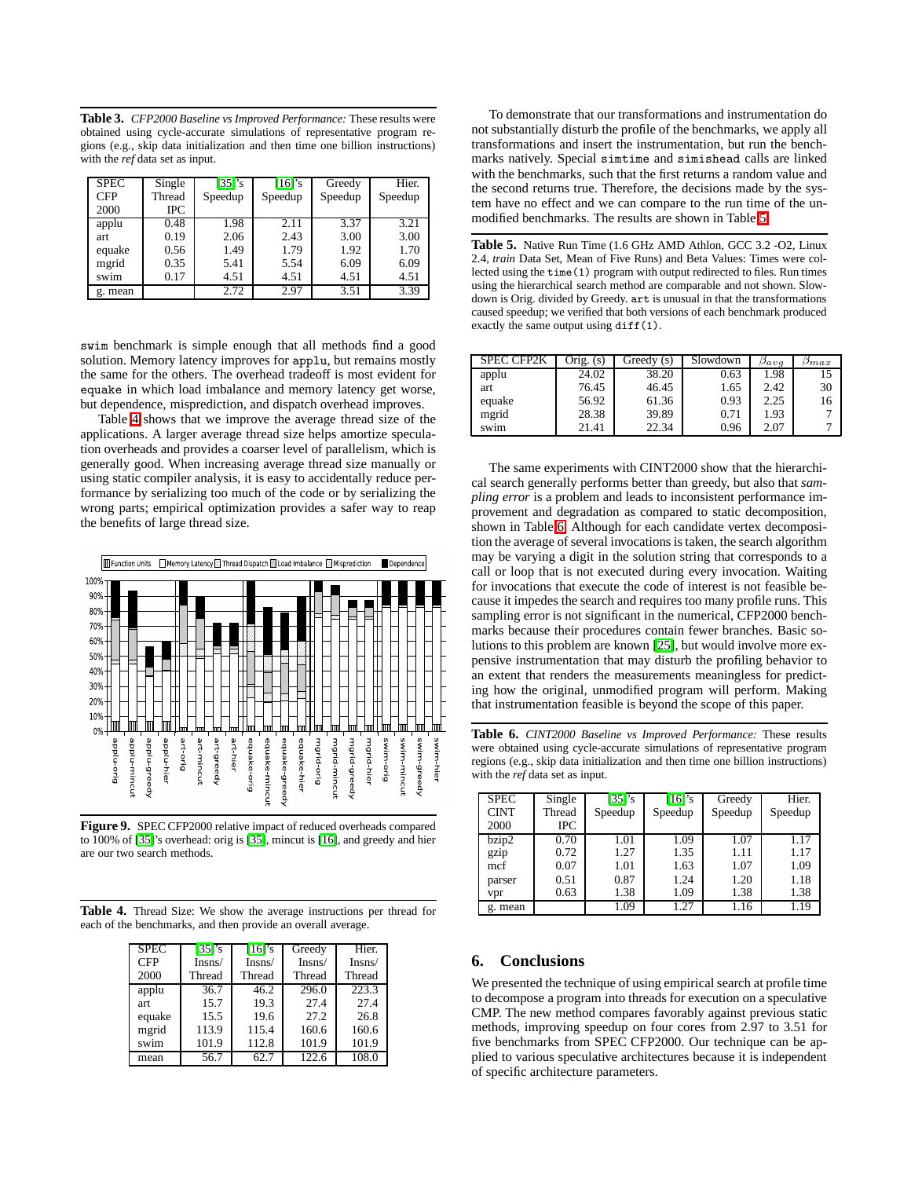<span id="page-8-1"></span>**Table 3.** *CFP2000 Baseline vs Improved Performance:* These results were obtained using cycle-accurate simulations of representative program regions (e.g., skip data initialization and then time one billion instructions) with the *ref* data set as input.

| <b>SPEC</b> | Single     | $[35]$ 's | [16]'s  | Greedy  | Hier.   |
|-------------|------------|-----------|---------|---------|---------|
| <b>CFP</b>  | Thread     | Speedup   | Speedup | Speedup | Speedup |
| 2000        | <b>IPC</b> |           |         |         |         |
| applu       | 0.48       | 1.98      | 2.11    | 3.37    | 3.21    |
| art         | 0.19       | 2.06      | 2.43    | 3.00    | 3.00    |
| equake      | 0.56       | 1.49      | 1.79    | 1.92    | 1.70    |
| mgrid       | 0.35       | 5.41      | 5.54    | 6.09    | 6.09    |
| swim        | 0.17       | 4.51      | 4.51    | 4.51    | 4.51    |
| g. mean     |            | 2.72      | 2.97    | 3.51    | 3.39    |

swim benchmark is simple enough that all methods find a good solution. Memory latency improves for applu, but remains mostly the same for the others. The overhead tradeoff is most evident for equake in which load imbalance and memory latency get worse, but dependence, misprediction, and dispatch overhead improves.

Table [4](#page-8-3) shows that we improve the average thread size of the applications. A larger average thread size helps amortize speculation overheads and provides a coarser level of parallelism, which is generally good. When increasing average thread size manually or using static compiler analysis, it is easy to accidentally reduce performance by serializing too much of the code or by serializing the wrong parts; empirical optimization provides a safer way to reap the benefits of large thread size.



<span id="page-8-2"></span>**Figure 9.** SPEC CFP2000 relative impact of reduced overheads compared to 100% of [\[35\]](#page-9-15)'s overhead: orig is [\[35\]](#page-9-15), mincut is [\[16\]](#page-9-10), and greedy and hier are our two search methods.

<span id="page-8-3"></span>**Table 4.** Thread Size: We show the average instructions per thread for each of the benchmarks, and then provide an overall average.

| <b>SPEC</b> | [35]'s | $[16]$ 's | Greedy | Hier.  |
|-------------|--------|-----------|--------|--------|
| <b>CFP</b>  | Insns/ | Insns/    | Insns/ | Insns/ |
| 2000        | Thread | Thread    | Thread | Thread |
| applu       | 36.7   | 46.2      | 296.0  | 223.3  |
| art         | 15.7   | 19.3      | 27.4   | 27.4   |
| equake      | 15.5   | 19.6      | 27.2   | 26.8   |
| mgrid       | 113.9  | 115.4     | 160.6  | 160.6  |
| swim        | 101.9  | 112.8     | 101.9  | 101.9  |
| mean        | 56.7   | 62.7      | 122.6  | 108.0  |

To demonstrate that our transformations and instrumentation do not substantially disturb the profile of the benchmarks, we apply all transformations and insert the instrumentation, but run the benchmarks natively. Special simtime and simishead calls are linked with the benchmarks, such that the first returns a random value and the second returns true. Therefore, the decisions made by the system have no effect and we can compare to the run time of the unmodified benchmarks. The results are shown in Table [5.](#page-8-4)

<span id="page-8-4"></span>**Table 5.** Native Run Time (1.6 GHz AMD Athlon, GCC 3.2 -O2, Linux 2.4, *train* Data Set, Mean of Five Runs) and Beta Values: Times were collected using the time(1) program with output redirected to files. Run times using the hierarchical search method are comparable and not shown. Slowdown is Orig. divided by Greedy. art is unusual in that the transformations caused speedup; we verified that both versions of each benchmark produced exactly the same output using diff(1).

| <b>SPEC CFP2K</b> | Orig. $(s)$ | Greedy (s) | Slowdown | $_{\rho a v q}$ | Pmax |
|-------------------|-------------|------------|----------|-----------------|------|
| applu             | 24.02       | 38.20      | 0.63     | 1.98            | 15   |
| art               | 76.45       | 46.45      | 1.65     | 2.42            | 30   |
| equake            | 56.92       | 61.36      | 0.93     | 2.25            | 16   |
| mgrid             | 28.38       | 39.89      | 0.71     | 1.93            |      |
| swim              | 21.41       | 22.34      | 0.96     | 2.07            |      |

The same experiments with CINT2000 show that the hierarchical search generally performs better than greedy, but also that *sampling error* is a problem and leads to inconsistent performance improvement and degradation as compared to static decomposition, shown in Table [6.](#page-8-5) Although for each candidate vertex decomposition the average of several invocations is taken, the search algorithm may be varying a digit in the solution string that corresponds to a call or loop that is not executed during every invocation. Waiting for invocations that execute the code of interest is not feasible because it impedes the search and requires too many profile runs. This sampling error is not significant in the numerical, CFP2000 benchmarks because their procedures contain fewer branches. Basic solutions to this problem are known [\[25\]](#page-9-38), but would involve more expensive instrumentation that may disturb the profiling behavior to an extent that renders the measurements meaningless for predicting how the original, unmodified program will perform. Making that instrumentation feasible is beyond the scope of this paper.

<span id="page-8-5"></span>**Table 6.** *CINT2000 Baseline vs Improved Performance:* These results were obtained using cycle-accurate simulations of representative program regions (e.g., skip data initialization and then time one billion instructions) with the *ref* data set as input.

| <b>SPEC</b> | Single     | $[35]$ 's | $[16]$ 's | Greedy  | Hier.   |
|-------------|------------|-----------|-----------|---------|---------|
| <b>CINT</b> | Thread     | Speedup   | Speedup   | Speedup | Speedup |
| 2000        | <b>IPC</b> |           |           |         |         |
| bzip2       | 0.70       | 1.01      | 1.09      | 1.07    | 1.17    |
| gzip        | 0.72       | 1.27      | 1.35      | 1.11    | 1.17    |
| mcf         | 0.07       | 1.01      | 1.63      | 1.07    | 1.09    |
| parser      | 0.51       | 0.87      | 1.24      | 1.20    | 1.18    |
| vpr         | 0.63       | 1.38      | 1.09      | 1.38    | 1.38    |
| g. mean     |            | 1.09      | 1.27      | 1.16    | 1.19    |

## <span id="page-8-0"></span>**6. Conclusions**

We presented the technique of using empirical search at profile time to decompose a program into threads for execution on a speculative CMP. The new method compares favorably against previous static methods, improving speedup on four cores from 2.97 to 3.51 for five benchmarks from SPEC CFP2000. Our technique can be applied to various speculative architectures because it is independent of specific architecture parameters.